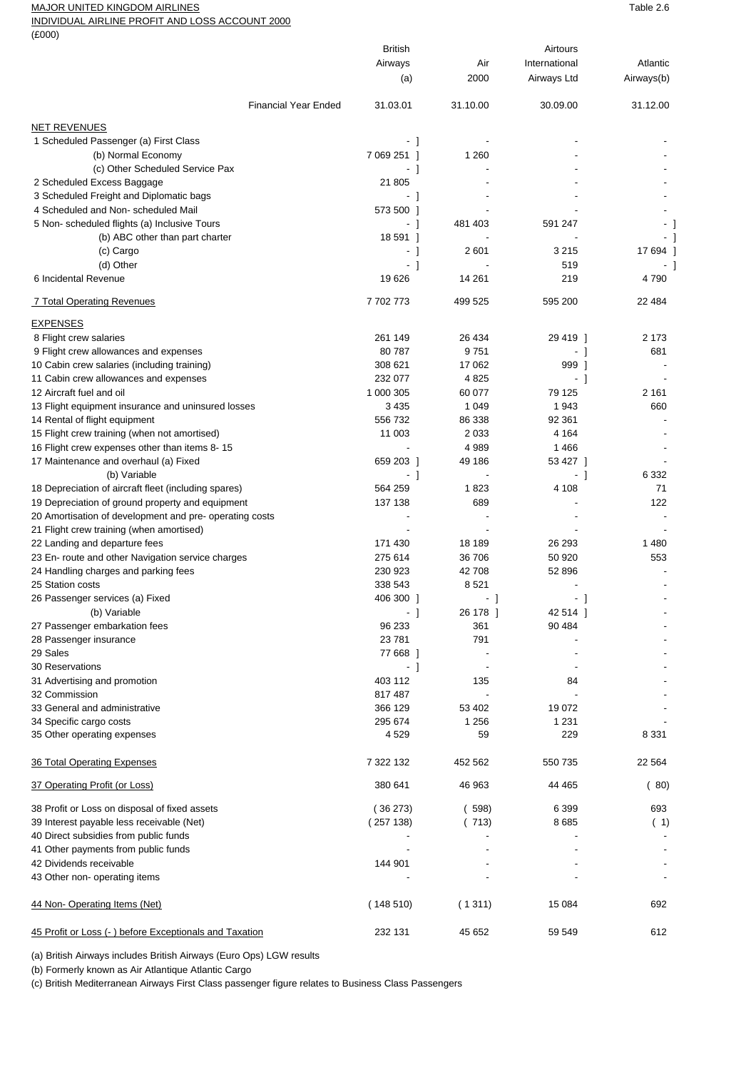## MAJOR UNITED KINGDOM AIRLINES TABLE 2.6

INDIVIDUAL AIRLINE PROFIT AND LOSS ACCOUNT 2000

 $(F000)$ 

| $\sim$                                                   |                |          |               |            |
|----------------------------------------------------------|----------------|----------|---------------|------------|
|                                                          | <b>British</b> |          | Airtours      |            |
|                                                          | Airways        | Air      | International | Atlantic   |
|                                                          | (a)            | 2000     | Airways Ltd   | Airways(b) |
| <b>Financial Year Ended</b>                              | 31.03.01       | 31.10.00 | 30.09.00      | 31.12.00   |
| <b>NET REVENUES</b>                                      |                |          |               |            |
| 1 Scheduled Passenger (a) First Class                    | - 1            |          |               |            |
| (b) Normal Economy                                       | 7 069 251 1    | 1 2 6 0  |               |            |
| (c) Other Scheduled Service Pax                          | - 1            |          |               |            |
| 2 Scheduled Excess Baggage                               | 21 805         |          |               |            |
| 3 Scheduled Freight and Diplomatic bags                  | - 1            |          |               |            |
| 4 Scheduled and Non-scheduled Mail                       | 573 500 1      |          |               |            |
| 5 Non- scheduled flights (a) Inclusive Tours             | - 1            | 481 403  | 591 247       |            |
| (b) ABC other than part charter                          | 18 591 1       |          |               |            |
| (c) Cargo                                                | - 1            | 2 601    | 3 2 1 5       | 17 694     |
| (d) Other                                                | - 1            |          | 519           |            |
| 6 Incidental Revenue                                     | 19626          | 14 261   | 219           | 4790       |
| <u>7 Total Operating Revenues</u>                        | 7702773        | 499 525  | 595 200       | 22 4 8 4   |
| <b>EXPENSES</b>                                          |                |          |               |            |
| 8 Flight crew salaries                                   | 261 149        | 26 434   | 29 419 1      | 2 1 7 3    |
| 9 Flight crew allowances and expenses                    | 80787          | 9751     | - 1           | 681        |
|                                                          | 308 621        | 17 062   |               |            |
| 10 Cabin crew salaries (including training)              | 232 077        |          | 999 1         |            |
| 11 Cabin crew allowances and expenses                    |                | 4825     | - 1           |            |
| 12 Aircraft fuel and oil                                 | 1 000 305      | 60 077   | 79 125        | 2 1 6 1    |
| 13 Flight equipment insurance and uninsured losses       | 3 4 3 5        | 1 0 4 9  | 1 943         | 660        |
| 14 Rental of flight equipment                            | 556 732        | 86 338   | 92 361        |            |
| 15 Flight crew training (when not amortised)             | 11 003         | 2 0 3 3  | 4 1 6 4       |            |
| 16 Flight crew expenses other than items 8-15            |                | 4 9 8 9  | 1466          |            |
| 17 Maintenance and overhaul (a) Fixed                    | 659 203 1      | 49 186   | 53 427 1      |            |
| (b) Variable                                             | - 1            |          | - 1           | 6 3 3 2    |
| 18 Depreciation of aircraft fleet (including spares)     | 564 259        | 1823     | 4 108         | 71         |
| 19 Depreciation of ground property and equipment         | 137 138        | 689      |               | 122        |
| 20 Amortisation of development and pre- operating costs  |                |          |               |            |
| 21 Flight crew training (when amortised)                 |                |          |               |            |
| 22 Landing and departure fees                            | 171 430        | 18 189   | 26 293        | 1480       |
| 23 En- route and other Navigation service charges        | 275 614        | 36 706   | 50 920        | 553        |
| 24 Handling charges and parking fees                     | 230 923        | 42708    | 52 896        |            |
| 25 Station costs                                         | 338 543        | 8521     |               |            |
| 26 Passenger services (a) Fixed                          | 406 300 ]      | - 1      | - 1           |            |
| (b) Variable                                             | - 1            | 26 178 ] | 42 514 ]      |            |
| 27 Passenger embarkation fees                            | 96 233         | 361      | 90 484        |            |
| 28 Passenger insurance                                   | 23781          | 791      |               |            |
| 29 Sales                                                 | 77 668 1       |          |               |            |
| 30 Reservations                                          | - 1            |          |               |            |
| 31 Advertising and promotion                             | 403 112        | 135      | 84            |            |
| 32 Commission                                            | 817 487        |          |               |            |
| 33 General and administrative                            | 366 129        | 53 402   | 19 072        |            |
| 34 Specific cargo costs                                  | 295 674        | 1 2 5 6  | 1 2 3 1       |            |
| 35 Other operating expenses                              | 4529           | 59       | 229           | 8 3 3 1    |
| 36 Total Operating Expenses                              | 7 322 132      | 452 562  | 550 735       | 22 564     |
| 37 Operating Profit (or Loss)                            | 380 641        | 46 963   | 44 465        | (80)       |
|                                                          |                |          |               | 693        |
| 38 Profit or Loss on disposal of fixed assets            | (36273)        | (598)    | 6 3 9 9       |            |
| 39 Interest payable less receivable (Net)                | (257138)       | (713)    | 8685          | (1)        |
| 40 Direct subsidies from public funds                    |                |          |               |            |
| 41 Other payments from public funds                      |                |          |               |            |
| 42 Dividends receivable<br>43 Other non- operating items | 144 901        |          |               |            |
|                                                          |                |          |               |            |
| 44 Non-Operating Items (Net)                             | (148510)       | (1311)   | 15 084        | 692        |
| 45 Profit or Loss (-) before Exceptionals and Taxation   | 232 131        | 45 652   | 59 549        | 612        |

(a) British Airways includes British Airways (Euro Ops) LGW results

(b) Formerly known as Air Atlantique Atlantic Cargo

(c) British Mediterranean Airways First Class passenger figure relates to Business Class Passengers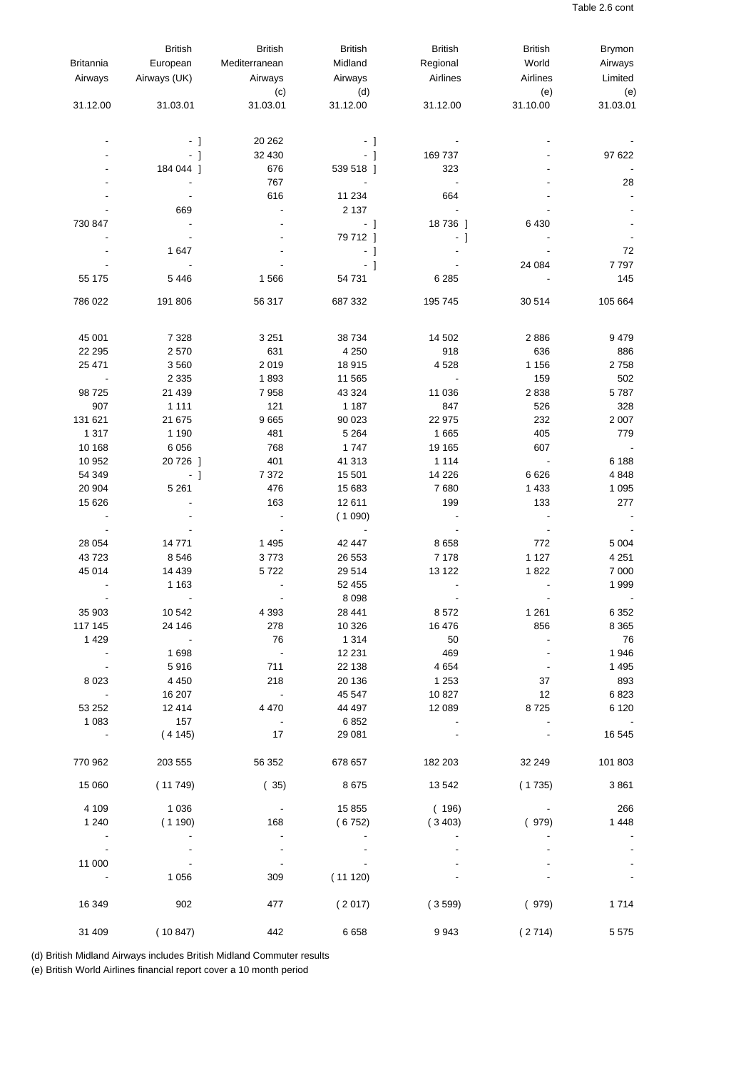| <b>Britannia</b><br>Airways | <b>British</b><br>European<br>Airways (UK) | <b>British</b><br>Mediterranean<br>Airways | <b>British</b><br>Midland<br>Airways | <b>British</b><br>Regional<br>Airlines | <b>British</b><br>World<br>Airlines | <b>Brymon</b><br>Airways<br>Limited |
|-----------------------------|--------------------------------------------|--------------------------------------------|--------------------------------------|----------------------------------------|-------------------------------------|-------------------------------------|
| 31.12.00                    | 31.03.01                                   | (c)<br>31.03.01                            | (d)<br>31.12.00                      | 31.12.00                               | (e)<br>31.10.00                     | (e)<br>31.03.01                     |
|                             | $-1$                                       | 20 26 2                                    | $-1$                                 |                                        |                                     |                                     |
|                             | $-1$                                       | 32 430                                     | - 1                                  | 169 737                                |                                     | 97 622                              |
|                             | 184 044 1                                  | 676                                        | 539 518 ]                            | 323                                    |                                     |                                     |
|                             |                                            | 767                                        | $\blacksquare$                       | $\overline{\phantom{a}}$               |                                     | 28                                  |
|                             |                                            | 616                                        | 11 234                               | 664                                    |                                     |                                     |
|                             | 669                                        | $\blacksquare$                             | 2 1 3 7                              | $\Box$                                 |                                     |                                     |
| 730 847                     |                                            |                                            | - 1                                  | 18736 ]                                | 6430                                |                                     |
|                             |                                            |                                            | 79 712 ]                             | - 1                                    |                                     |                                     |
|                             | 1647                                       |                                            | $-1$                                 |                                        |                                     | 72                                  |
|                             |                                            |                                            | $-1$                                 |                                        | 24 084                              | 7797                                |
| 55 175                      | 5446                                       | 1566                                       | 54 731                               | 6 2 8 5                                |                                     | 145                                 |
| 786 022                     | 191 806                                    | 56 317                                     | 687 332                              | 195 745                                | 30 514                              | 105 664                             |
| 45 001                      | 7 3 2 8                                    | 3 2 5 1                                    | 38 7 34                              | 14 502                                 | 2886                                | 9479                                |
| 22 29 5                     | 2570                                       | 631                                        | 4 2 5 0                              | 918                                    | 636                                 | 886                                 |
| 25 471                      | 3 5 6 0                                    | 2019                                       | 18 915                               | 4528                                   | 1 1 5 6                             | 2758                                |
| $\blacksquare$              | 2 3 3 5                                    | 1893                                       | 11 565                               | $\Box$                                 | 159                                 | 502                                 |
| 98 7 25                     | 21 4 39                                    | 7958                                       | 43 324                               | 11 0 36                                | 2838                                | 5787                                |
| 907                         | 1 1 1 1                                    | 121                                        | 1 1 8 7                              | 847                                    | 526                                 | 328                                 |
| 131 621                     | 21 675                                     | 9665                                       | 90 023                               | 22 975                                 | 232                                 | 2 0 0 7                             |
| 1 3 1 7                     | 1 1 9 0                                    | 481                                        | 5 2 6 4                              | 1 6 6 5                                | 405                                 | 779                                 |
| 10 168                      | 6 0 5 6                                    | 768                                        | 1747                                 | 19 165                                 | 607                                 |                                     |
| 10 952                      | 20 726 ]                                   | 401<br>7 3 7 2                             | 41 313                               | 1 1 1 4                                | $\blacksquare$<br>6626              | 6 1 8 8                             |
| 54 349<br>20 904            | - 1<br>5 2 6 1                             | 476                                        | 15 501<br>15 683                     | 14 226<br>7680                         | 1 4 3 3                             | 4848<br>1 0 9 5                     |
| 15 626                      |                                            | 163                                        | 12 611                               | 199                                    | 133                                 | 277                                 |
|                             |                                            | $\blacksquare$                             | (1090)                               | $\blacksquare$                         | $\blacksquare$                      |                                     |
|                             |                                            | $\overline{\phantom{a}}$                   | $\overline{\phantom{a}}$             | $\overline{\phantom{a}}$               | $\blacksquare$                      |                                     |
| 28 0 54                     | 14 771                                     | 1 4 9 5                                    | 42 447                               | 8658                                   | 772                                 | 5 0 0 4                             |
| 43723                       | 8546                                       | 3773                                       | 26 553                               | 7 1 7 8                                | 1 1 2 7                             | 4 2 5 1                             |
| 45 014                      | 14 4 39                                    | 5722                                       | 29 5 14                              | 13 122                                 | 1822                                | 7 0 0 0                             |
|                             | 1 1 6 3                                    |                                            | 52 455                               |                                        |                                     | 1999                                |
|                             | $\overline{\phantom{a}}$                   |                                            | 8 0 9 8                              | $\blacksquare$                         | $\blacksquare$                      |                                     |
| 35 903<br>117 145           | 10 542<br>24 146                           | 4 3 9 3                                    | 28 441                               | 8572                                   | 1 2 6 1                             | 6 3 5 2                             |
| 1 4 2 9                     | $\blacksquare$                             | 278<br>76                                  | 10 326<br>1 3 1 4                    | 16 476<br>50                           | 856                                 | 8 3 6 5<br>76                       |
| $\overline{\phantom{a}}$    | 1698                                       | $\overline{\phantom{a}}$                   | 12 2 31                              | 469                                    |                                     | 1946                                |
| $\overline{\phantom{a}}$    | 5916                                       | 711                                        | 22 138                               | 4 6 5 4                                | $\overline{\phantom{m}}$            | 1495                                |
| 8023                        | 4 4 5 0                                    | 218                                        | 20 136                               | 1 2 5 3                                | 37                                  | 893                                 |
|                             | 16 207                                     | $\overline{\phantom{a}}$                   | 45 547                               | 10827                                  | 12                                  | 6823                                |
| 53 252                      | 12 4 14                                    | 4 4 7 0                                    | 44 497                               | 12 089                                 | 8725                                | 6 1 2 0                             |
| 1 0 8 3                     | 157                                        | $\blacksquare$                             | 6852                                 |                                        | $\blacksquare$                      |                                     |
| $\sim$ $-$                  | (4145)                                     | 17                                         | 29 081                               |                                        |                                     | 16 545                              |
| 770 962                     | 203 555                                    | 56 352                                     | 678 657                              | 182 203                                | 32 249                              | 101 803                             |
| 15 060                      | (11749)                                    | (35)                                       | 8675                                 | 13542                                  | (1735)                              | 3861                                |
| 4 1 0 9                     | 1 0 3 6                                    |                                            | 15 855                               | (196)                                  |                                     | 266                                 |
| 1 2 4 0                     | (1190)                                     | 168                                        | (6752)                               | (3403)                                 | (979)                               | 1448                                |
|                             |                                            |                                            |                                      |                                        |                                     |                                     |
| $\overline{\phantom{a}}$    |                                            |                                            |                                      |                                        |                                     |                                     |
| 11 000                      |                                            |                                            |                                      |                                        |                                     |                                     |
|                             | 1 0 5 6                                    | 309                                        | (11120)                              |                                        |                                     |                                     |
| 16 349                      | 902                                        | 477                                        | (2017)                               | (3599)                                 | (979)                               | 1714                                |
| 31 409                      | (10847)                                    | 442                                        | 6658                                 | 9943                                   | (2714)                              | 5575                                |

(d) British Midland Airways includes British Midland Commuter results

(e) British World Airlines financial report cover a 10 month period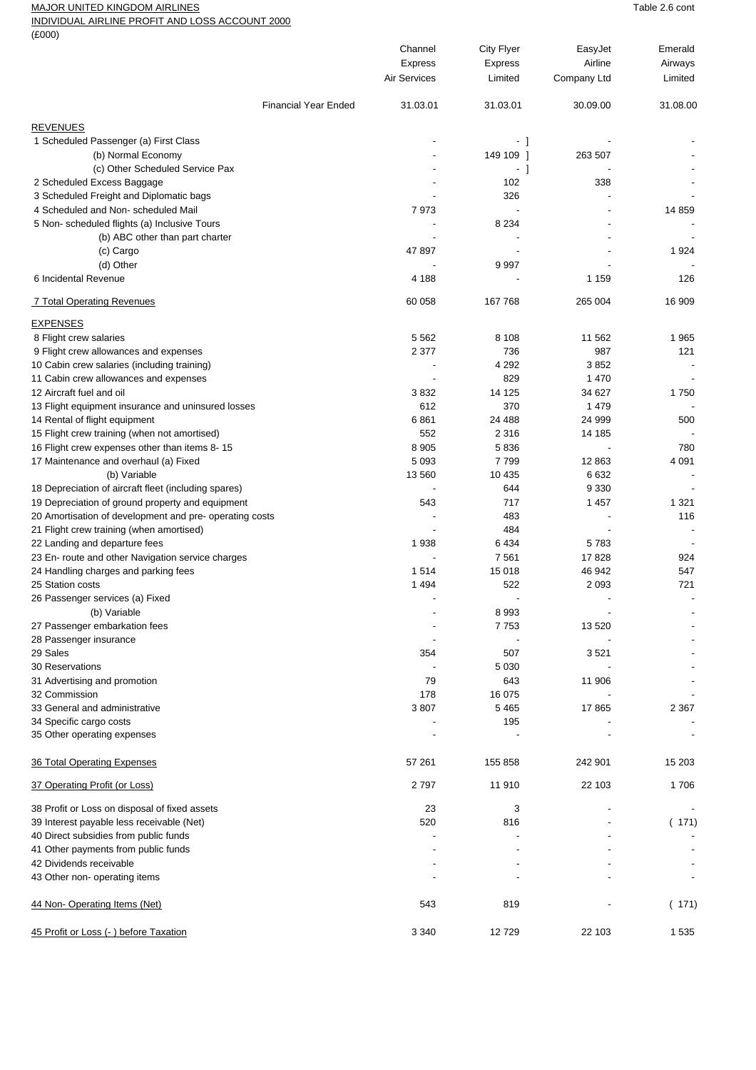## MAJOR UNITED KINGDOM AIRLINES **Table 2.6** cont

INDIVIDUAL AIRLINE PROFIT AND LOSS ACCOUNT 2000

 $(F(0)$ 

| (2000)                                                                             | Channel<br><b>Express</b><br><b>Air Services</b> | <b>City Flyer</b><br><b>Express</b><br>Limited | EasyJet<br>Airline<br>Company Ltd | Emerald<br>Airways<br>Limited |
|------------------------------------------------------------------------------------|--------------------------------------------------|------------------------------------------------|-----------------------------------|-------------------------------|
| <b>Financial Year Ended</b>                                                        | 31.03.01                                         | 31.03.01                                       | 30.09.00                          | 31.08.00                      |
| <b>REVENUES</b>                                                                    |                                                  |                                                |                                   |                               |
| 1 Scheduled Passenger (a) First Class                                              |                                                  | - 1                                            |                                   |                               |
| (b) Normal Economy                                                                 |                                                  | 149 109 1                                      | 263 507                           |                               |
| (c) Other Scheduled Service Pax                                                    |                                                  | - 1                                            |                                   |                               |
| 2 Scheduled Excess Baggage                                                         |                                                  | 102                                            | 338                               |                               |
| 3 Scheduled Freight and Diplomatic bags                                            |                                                  | 326                                            |                                   |                               |
| 4 Scheduled and Non-scheduled Mail                                                 | 7973                                             |                                                |                                   | 14 8 59                       |
| 5 Non- scheduled flights (a) Inclusive Tours                                       |                                                  | 8 2 3 4                                        |                                   |                               |
| (b) ABC other than part charter                                                    |                                                  |                                                |                                   |                               |
| (c) Cargo                                                                          | 47897                                            |                                                |                                   | 1924                          |
| (d) Other                                                                          |                                                  | 9997                                           |                                   |                               |
| 6 Incidental Revenue                                                               | 4 1 8 8                                          |                                                | 1 1 5 9                           | 126                           |
| 7 Total Operating Revenues                                                         | 60 058                                           | 167 768                                        | 265 004                           | 16 909                        |
|                                                                                    |                                                  |                                                |                                   |                               |
| <b>EXPENSES</b>                                                                    |                                                  |                                                |                                   |                               |
| 8 Flight crew salaries                                                             | 5 5 6 2                                          | 8 1 0 8                                        | 11 562                            | 1965                          |
| 9 Flight crew allowances and expenses                                              | 2 3 7 7                                          | 736                                            | 987                               | 121                           |
| 10 Cabin crew salaries (including training)                                        |                                                  | 4 2 9 2                                        | 3852                              |                               |
| 11 Cabin crew allowances and expenses                                              |                                                  | 829                                            | 1 4 7 0                           |                               |
| 12 Aircraft fuel and oil                                                           | 3832                                             | 14 125                                         | 34 627                            | 1750                          |
| 13 Flight equipment insurance and uninsured losses                                 | 612                                              | 370                                            | 1479                              |                               |
| 14 Rental of flight equipment                                                      | 6861                                             | 24 4 88                                        | 24 999                            | 500                           |
| 15 Flight crew training (when not amortised)                                       | 552                                              | 2 3 1 6                                        | 14 185                            |                               |
| 16 Flight crew expenses other than items 8-15                                      | 8 9 0 5                                          | 5836                                           |                                   | 780                           |
| 17 Maintenance and overhaul (a) Fixed                                              | 5 0 9 3                                          | 7799                                           | 12863                             | 4 0 9 1                       |
| (b) Variable                                                                       | 13 560                                           | 10 4 35                                        | 6632                              |                               |
| 18 Depreciation of aircraft fleet (including spares)                               |                                                  | 644                                            | 9 3 3 0                           |                               |
| 19 Depreciation of ground property and equipment                                   | 543                                              | 717                                            | 1457                              | 1 3 2 1                       |
| 20 Amortisation of development and pre- operating costs                            |                                                  | 483                                            |                                   | 116                           |
| 21 Flight crew training (when amortised)                                           |                                                  | 484                                            |                                   |                               |
| 22 Landing and departure fees                                                      | 1938                                             | 6434                                           | 5783                              |                               |
| 23 En- route and other Navigation service charges                                  |                                                  | 7 5 61                                         | 17828                             | 924                           |
| 24 Handling charges and parking fees                                               | 1514                                             | 15 018                                         | 46 942                            | 547                           |
| 25 Station costs                                                                   | 1494                                             | 522                                            | 2 0 9 3                           | 721                           |
| 26 Passenger services (a) Fixed                                                    | ÷,                                               |                                                |                                   | $\overline{\phantom{a}}$      |
| (b) Variable                                                                       | $\overline{\phantom{a}}$                         | 8993                                           |                                   |                               |
| 27 Passenger embarkation fees                                                      |                                                  | 7753                                           | 13 5 20                           |                               |
| 28 Passenger insurance                                                             |                                                  |                                                |                                   |                               |
| 29 Sales                                                                           | 354                                              | 507                                            | 3521                              |                               |
| <b>30 Reservations</b>                                                             |                                                  | 5 0 3 0                                        |                                   |                               |
| 31 Advertising and promotion                                                       | 79                                               | 643                                            | 11 906                            |                               |
| 32 Commission                                                                      | 178                                              | 16 075                                         |                                   |                               |
| 33 General and administrative                                                      | 3807                                             | 5 4 6 5                                        | 17865                             | 2 3 6 7                       |
| 34 Specific cargo costs                                                            |                                                  | 195                                            |                                   |                               |
| 35 Other operating expenses                                                        |                                                  |                                                |                                   |                               |
| <b>36 Total Operating Expenses</b>                                                 | 57 261                                           | 155 858                                        | 242 901                           | 15 203                        |
| <u>37 Operating Profit (or Loss)</u>                                               | 2797                                             | 11 910                                         | 22 103                            | 1706                          |
| 38 Profit or Loss on disposal of fixed assets                                      | 23                                               | 3                                              |                                   |                               |
|                                                                                    |                                                  |                                                |                                   |                               |
| 39 Interest payable less receivable (Net)<br>40 Direct subsidies from public funds | 520                                              | 816                                            |                                   | (171)                         |
|                                                                                    |                                                  |                                                |                                   |                               |
| 41 Other payments from public funds<br>42 Dividends receivable                     |                                                  |                                                |                                   |                               |
| 43 Other non- operating items                                                      |                                                  |                                                |                                   |                               |
| 44 Non-Operating Items (Net)                                                       | 543                                              | 819                                            |                                   | (171)                         |
| 45 Profit or Loss (-) before Taxation                                              | 3 3 4 0                                          | 12729                                          | 22 103                            | 1535                          |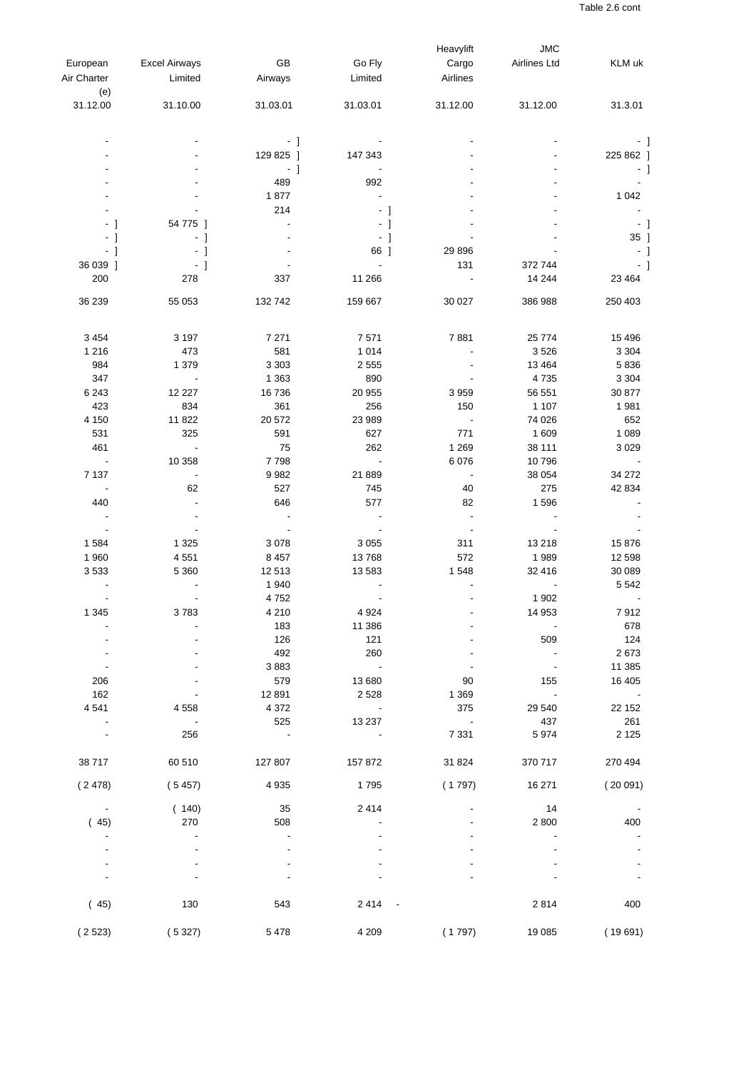|                          |                          |           |                          | Heavylift                | <b>JMC</b>               |                          |
|--------------------------|--------------------------|-----------|--------------------------|--------------------------|--------------------------|--------------------------|
| European                 | <b>Excel Airways</b>     | GB        | Go Fly                   | Cargo                    | Airlines Ltd             | KLM uk                   |
|                          |                          |           |                          |                          |                          |                          |
| Air Charter              | Limited                  | Airways   | Limited                  | Airlines                 |                          |                          |
| (e)                      |                          |           |                          |                          |                          |                          |
| 31.12.00                 | 31.10.00                 | 31.03.01  | 31.03.01                 | 31.12.00                 | 31.12.00                 | 31.3.01                  |
|                          |                          | $-1$      |                          |                          |                          |                          |
|                          |                          | 129 825 ] | 147 343                  |                          |                          | 225 862 ]                |
|                          |                          |           |                          |                          |                          |                          |
|                          |                          | $-1$      |                          |                          |                          | - 1                      |
|                          |                          | 489       | 992                      |                          |                          |                          |
|                          |                          | 1877      |                          |                          |                          | 1 0 4 2                  |
|                          |                          | 214       | $-1$                     |                          |                          |                          |
| - 1                      | 54 775 ]                 |           | - 1                      |                          |                          | - 1                      |
| - 1                      | - 1                      |           | $-1$                     |                          |                          | 35 ]                     |
|                          |                          |           |                          |                          |                          |                          |
| - 1                      | - 1                      |           | 66 ]                     | 29 8 96                  |                          | - 1                      |
| 36 039 ]                 | $-1$                     |           | $\blacksquare$           | 131                      | 372 744                  | - 1                      |
| 200                      | 278                      | 337       | 11 266                   | $\sim$                   | 14 244                   | 23 4 64                  |
| 36 239                   | 55 053                   | 132 742   | 159 667                  | 30 027                   | 386 988                  | 250 403                  |
| 3 4 5 4                  | 3 1 9 7                  | 7 2 7 1   | 7571                     | 7881                     | 25 7 7 4                 | 15 4 96                  |
| 1 2 1 6                  | 473                      | 581       | 1 0 1 4                  |                          | 3526                     | 3 3 0 4                  |
| 984                      |                          |           |                          |                          |                          | 5836                     |
|                          | 1 3 7 9                  | 3 3 0 3   | 2 5 5 5                  |                          | 13 4 64                  |                          |
| 347                      | $\overline{\phantom{a}}$ | 1 3 6 3   | 890                      |                          | 4735                     | 3 3 0 4                  |
| 6 2 4 3                  | 12 2 2 7                 | 16 736    | 20 955                   | 3959                     | 56 551                   | 30 877                   |
| 423                      | 834                      | 361       | 256                      | 150                      | 1 1 0 7                  | 1981                     |
| 4 1 5 0                  | 11 822                   | 20 572    | 23 989                   |                          | 74 0 26                  | 652                      |
| 531                      | 325                      | 591       | 627                      | 771                      | 1 609                    | 1 0 8 9                  |
| 461                      | $\overline{\phantom{a}}$ | 75        | 262                      | 1 2 6 9                  | 38 111                   | 3 0 2 9                  |
| $\sim$                   | 10 358                   | 7798      | $\overline{\phantom{a}}$ | 6 0 7 6                  | 10796                    |                          |
|                          |                          |           |                          |                          |                          |                          |
| 7 1 3 7                  | $\overline{\phantom{a}}$ | 9982      | 21 889                   | $\overline{\phantom{a}}$ | 38 054                   | 34 27 2                  |
| $\overline{\phantom{a}}$ | 62                       | 527       | 745                      | 40                       | 275                      | 42 834                   |
| 440                      |                          | 646       | 577                      | 82                       | 1596                     |                          |
|                          |                          |           |                          |                          |                          |                          |
| $\overline{\phantom{a}}$ |                          |           |                          | $\overline{\phantom{a}}$ |                          |                          |
| 1584                     | 1 3 2 5                  | 3078      | 3 0 5 5                  | 311                      | 13 218                   | 15876                    |
| 1960                     | 4551                     | 8 4 5 7   | 13768                    | 572                      | 1989                     | 12 5 98                  |
| 3533                     | 5 3 6 0                  | 12 513    | 13583                    | 1548                     | 32 416                   | 30 089                   |
|                          |                          | 1 940     |                          |                          |                          | 5 5 4 2                  |
|                          |                          | 4752      |                          |                          | 1 902                    |                          |
| 1 3 4 5                  | 3783                     | 4 2 1 0   | 4 9 24                   |                          | 14 953                   | 7912                     |
|                          |                          | 183       | 11 386                   |                          | $\overline{\phantom{a}}$ | 678                      |
|                          |                          |           |                          |                          |                          |                          |
|                          |                          | 126       | 121                      |                          | 509                      | 124                      |
|                          |                          | 492       | 260                      |                          |                          | 2673                     |
|                          |                          | 3883      | $\sim 10^{-1}$           |                          |                          | 11 385                   |
| 206                      |                          | 579       | 13 680                   | 90                       | 155                      | 16 40 5                  |
| 162                      |                          | 12891     | 2 5 2 8                  | 1 3 6 9                  | $\sim$                   | $\overline{\phantom{a}}$ |
| 4 5 4 1                  | 4558                     | 4 3 7 2   | $\overline{\phantom{a}}$ | 375                      | 29 540                   | 22 152                   |
|                          |                          | 525       | 13 237                   |                          | 437                      | 261                      |
| $\overline{\phantom{a}}$ | 256                      | $\sim$    | $\overline{\phantom{a}}$ | 7 3 3 1                  | 5974                     | 2 1 2 5                  |
| 38717                    | 60 510                   | 127 807   | 157 872                  | 31 824                   | 370 717                  | 270 494                  |
| (2478)                   | (5457)                   | 4 9 3 5   | 1795                     | (1797)                   | 16 271                   | (20091)                  |
|                          |                          |           |                          |                          |                          |                          |
| $\overline{\phantom{a}}$ | (140)                    | 35        | 2414                     |                          | 14                       |                          |
| (45)                     | 270                      | 508       |                          |                          | 2 800                    | 400                      |
|                          |                          |           |                          |                          |                          |                          |
|                          |                          |           |                          |                          |                          |                          |
|                          |                          |           |                          |                          |                          |                          |
|                          |                          |           |                          |                          |                          |                          |
| (45)                     | 130                      | 543       | 2414                     |                          | 2814                     | 400                      |
| (2523)                   | (5327)                   | 5478      | 4 2 0 9                  | (1797)                   | 19 085                   | (19691)                  |
|                          |                          |           |                          |                          |                          |                          |